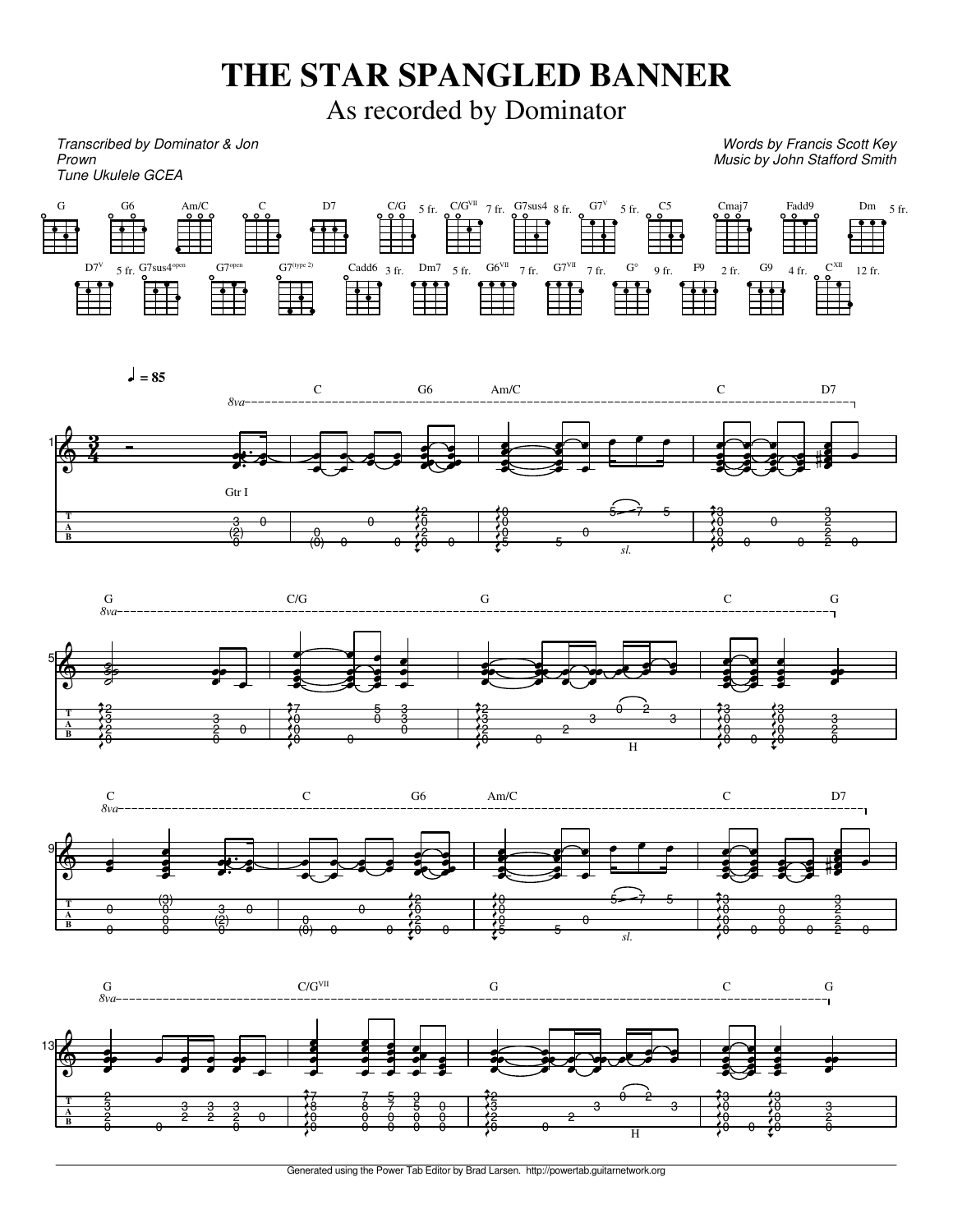# **THE STAR SPANGLED BANNER**

As recorded by Dominator



Generated using the Power Tab Editor by Brad Larsen. http://powertab.guitarnetwork.org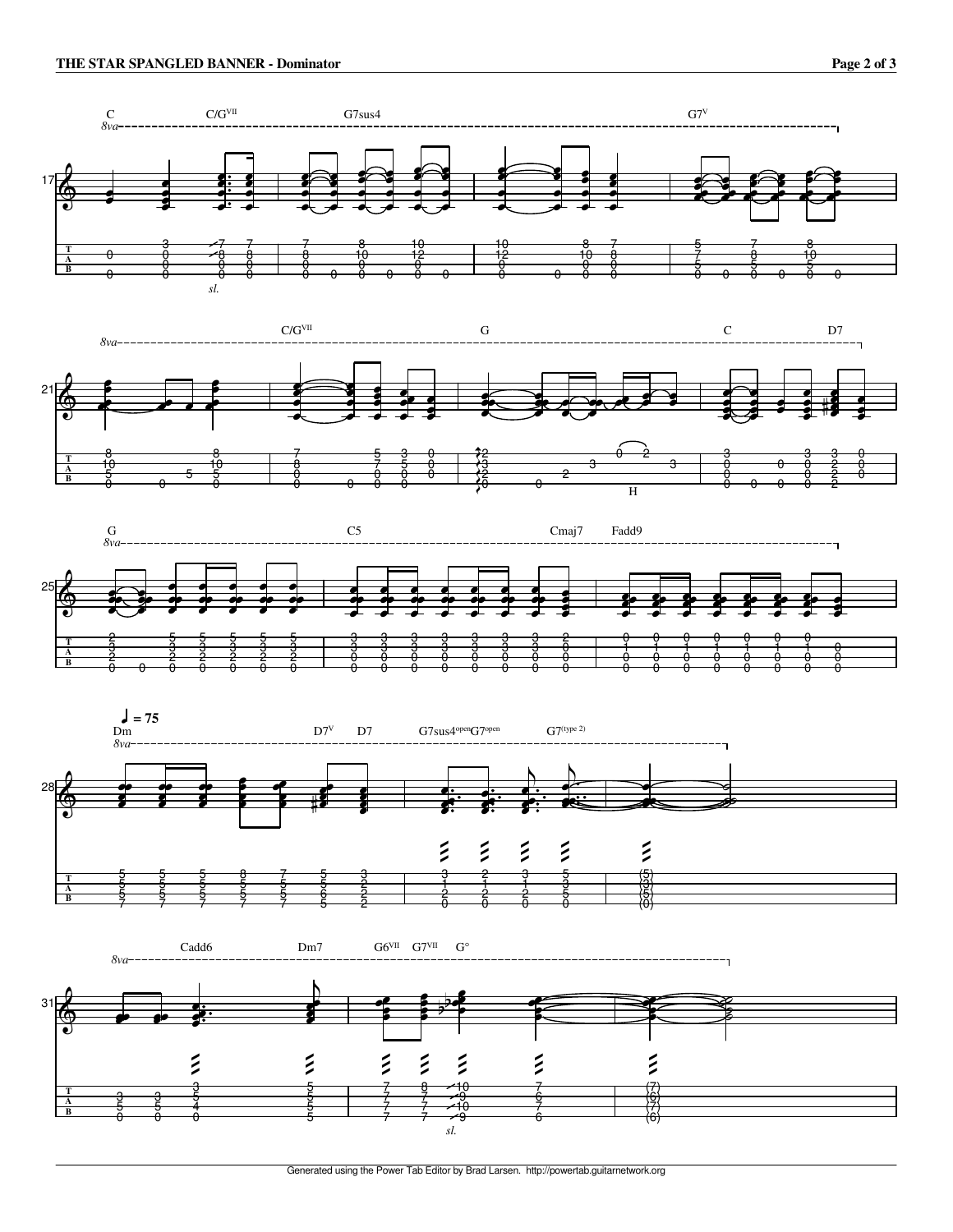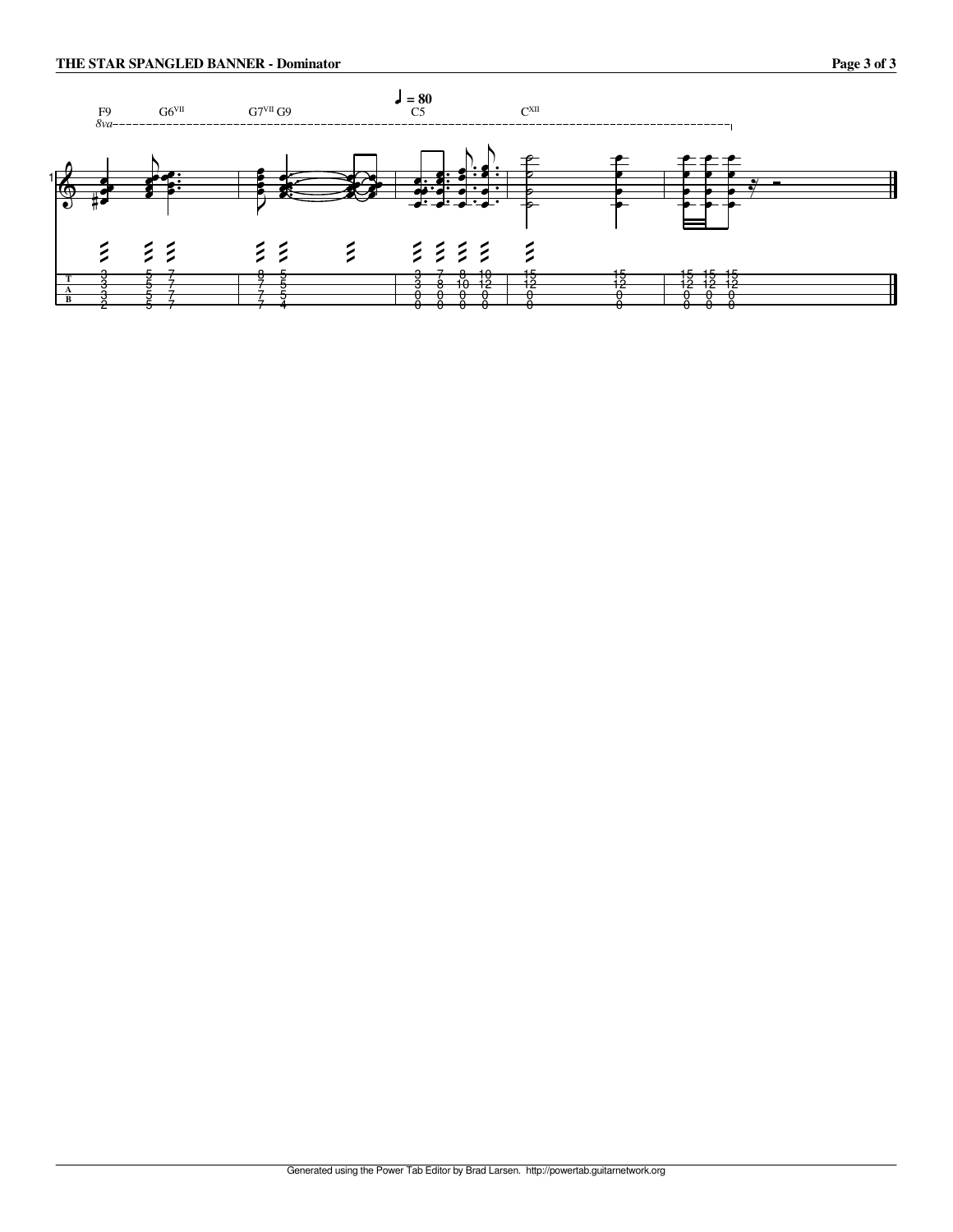#### **THE STAR SPANGLED BANNER - Dominator Page 3 of 3**